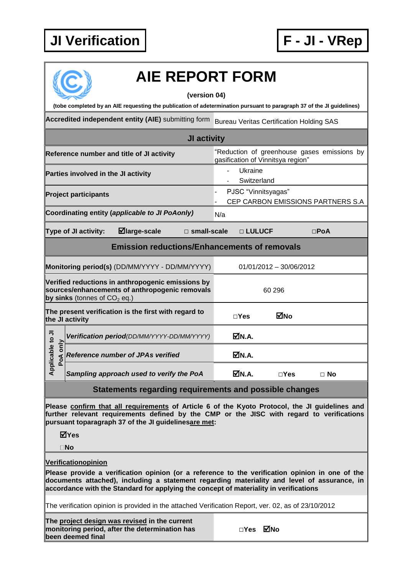## **JI Verification F - JI - VRep**



## **AIE REPORT FORM**

**(version 04)**

**(tobe completed by an AIE requesting the publication of adetermination pursuant to paragraph 37 of the JI guidelines)**

Accredited independent entity (AIE) submitting form Bureau Veritas Certification Holding SAS

|                                                                                                                                       |                                                |  | JI activity                                                                      |                        |               |              |            |           |
|---------------------------------------------------------------------------------------------------------------------------------------|------------------------------------------------|--|----------------------------------------------------------------------------------|------------------------|---------------|--------------|------------|-----------|
| Reference number and title of JI activity                                                                                             |                                                |  | "Reduction of greenhouse gases emissions by<br>gasification of Vinnitsya region" |                        |               |              |            |           |
| Parties involved in the JI activity                                                                                                   |                                                |  |                                                                                  | Ukraine<br>Switzerland |               |              |            |           |
| <b>Project participants</b>                                                                                                           |                                                |  | PJSC "Vinnitsyagas"<br>CEP CARBON EMISSIONS PARTNERS S.A                         |                        |               |              |            |           |
|                                                                                                                                       | Coordinating entity (applicable to JI PoAonly) |  |                                                                                  | N/a                    |               |              |            |           |
| $\blacksquare$ large-scale<br>Type of JI activity:<br>$\square$ small-scale                                                           |                                                |  |                                                                                  |                        | $\Box$ LULUCF |              | $\Box$ PoA |           |
| <b>Emission reductions/Enhancements of removals</b>                                                                                   |                                                |  |                                                                                  |                        |               |              |            |           |
| Monitoring period(s) (DD/MM/YYYY - DD/MM/YYYY)                                                                                        |                                                |  | 01/01/2012 - 30/06/2012                                                          |                        |               |              |            |           |
| Verified reductions in anthropogenic emissions by<br>sources/enhancements of anthropogenic removals<br>by sinks (tonnes of $CO2$ eq.) |                                                |  | 60 296                                                                           |                        |               |              |            |           |
| The present verification is the first with regard to<br>the JI activity                                                               |                                                |  |                                                                                  | $\Box$ Yes             | ⊠No           |              |            |           |
| Applicable to JI<br>PoA only                                                                                                          | Verification period(DD/MM/YYYY-DD/MM/YYYY)     |  |                                                                                  |                        | ØN.A.         |              |            |           |
|                                                                                                                                       | <b>Reference number of JPAs verified</b>       |  |                                                                                  |                        | ØN.A.         |              |            |           |
|                                                                                                                                       | Sampling approach used to verify the PoA       |  |                                                                                  |                        | ØN.A.         | $\sqcap$ Yes |            | $\Box$ No |

**Statements regarding requirements and possible changes**

**Please confirm that all requirements of Article 6 of the Kyoto Protocol, the JI guidelines and further relevant requirements defined by the CMP or the JISC with regard to verifications pursuant toparagraph 37 of the JI guidelinesare met:**

**Yes**

**No**

**Verificationopinion**

**Please provide a verification opinion (or a reference to the verification opinion in one of the documents attached), including a statement regarding materiality and level of assurance, in accordance with the Standard for applying the concept of materiality in verifications**

The verification opinion is provided in the attached Verification Report, ver. 02, as of 23/10/2012

**The project design was revised in the current monitoring period, after the determination has been deemed final**

**□Yes No**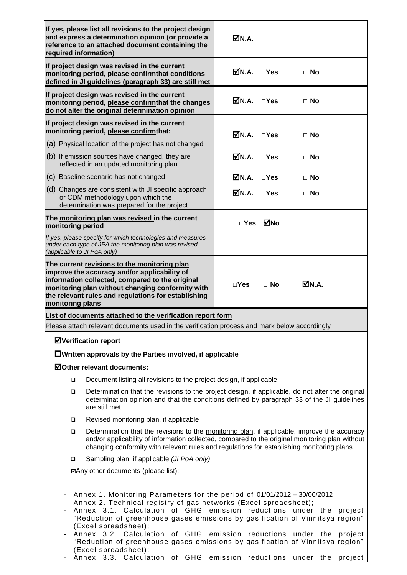| required information)                                                                                                                                                                                                                                                                                                                                                                                                                                                                                                       | If yes, please list all revisions to the project design<br>and express a determination opinion (or provide a<br>reference to an attached document containing the                                                                                           | M.A.                                    |               |           |  |  |  |  |
|-----------------------------------------------------------------------------------------------------------------------------------------------------------------------------------------------------------------------------------------------------------------------------------------------------------------------------------------------------------------------------------------------------------------------------------------------------------------------------------------------------------------------------|------------------------------------------------------------------------------------------------------------------------------------------------------------------------------------------------------------------------------------------------------------|-----------------------------------------|---------------|-----------|--|--|--|--|
|                                                                                                                                                                                                                                                                                                                                                                                                                                                                                                                             | If project design was revised in the current<br>monitoring period, please confirmthat conditions<br>defined in JI guidelines (paragraph 33) are still met                                                                                                  | $\overline{\mathbf{M}}$ N.A. $\Box$ Yes |               | $\Box$ No |  |  |  |  |
|                                                                                                                                                                                                                                                                                                                                                                                                                                                                                                                             | If project design was revised in the current<br>monitoring period, please confirmthat the changes<br>do not alter the original determination opinion                                                                                                       | $\nabla N.A.$ $\Box Yes$                |               | $\Box$ No |  |  |  |  |
|                                                                                                                                                                                                                                                                                                                                                                                                                                                                                                                             | If project design was revised in the current<br>monitoring period, please confirmthat:                                                                                                                                                                     | MDN.A. □Yes                             |               | $\Box$ No |  |  |  |  |
|                                                                                                                                                                                                                                                                                                                                                                                                                                                                                                                             | (a) Physical location of the project has not changed                                                                                                                                                                                                       |                                         |               |           |  |  |  |  |
|                                                                                                                                                                                                                                                                                                                                                                                                                                                                                                                             | (b) If emission sources have changed, they are<br>reflected in an updated monitoring plan                                                                                                                                                                  | MN.A.                                   | $\neg$ Yes    | $\Box$ No |  |  |  |  |
|                                                                                                                                                                                                                                                                                                                                                                                                                                                                                                                             | (c) Baseline scenario has not changed                                                                                                                                                                                                                      | MN.A.                                   | $\sqcap$ Yes  | $\Box$ No |  |  |  |  |
|                                                                                                                                                                                                                                                                                                                                                                                                                                                                                                                             | (d) Changes are consistent with JI specific approach<br>or CDM methodology upon which the<br>determination was prepared for the project                                                                                                                    | ⊠N.A.                                   | $\square$ Yes | $\Box$ No |  |  |  |  |
| monitoring period                                                                                                                                                                                                                                                                                                                                                                                                                                                                                                           | The monitoring plan was revised in the current                                                                                                                                                                                                             | ⊡Yes                                    | ⊠No           |           |  |  |  |  |
| (applicable to JI PoA only)                                                                                                                                                                                                                                                                                                                                                                                                                                                                                                 | If yes, please specify for which technologies and measures<br>under each type of JPA the monitoring plan was revised                                                                                                                                       |                                         |               |           |  |  |  |  |
| monitoring plans                                                                                                                                                                                                                                                                                                                                                                                                                                                                                                            | The current revisions to the monitoring plan<br>improve the accuracy and/or applicability of<br>information collected, compared to the original<br>monitoring plan without changing conformity with<br>the relevant rules and regulations for establishing | $\Box$ Yes                              | $\Box$ No     | MN.A.     |  |  |  |  |
|                                                                                                                                                                                                                                                                                                                                                                                                                                                                                                                             | List of documents attached to the verification report form                                                                                                                                                                                                 |                                         |               |           |  |  |  |  |
|                                                                                                                                                                                                                                                                                                                                                                                                                                                                                                                             | Please attach relevant documents used in the verification process and mark below accordingly                                                                                                                                                               |                                         |               |           |  |  |  |  |
|                                                                                                                                                                                                                                                                                                                                                                                                                                                                                                                             | <b>ØVerification report</b>                                                                                                                                                                                                                                |                                         |               |           |  |  |  |  |
|                                                                                                                                                                                                                                                                                                                                                                                                                                                                                                                             | $\Box$ Written approvals by the Parties involved, if applicable                                                                                                                                                                                            |                                         |               |           |  |  |  |  |
|                                                                                                                                                                                                                                                                                                                                                                                                                                                                                                                             | ☑Other relevant documents:                                                                                                                                                                                                                                 |                                         |               |           |  |  |  |  |
| ▫                                                                                                                                                                                                                                                                                                                                                                                                                                                                                                                           | Document listing all revisions to the project design, if applicable                                                                                                                                                                                        |                                         |               |           |  |  |  |  |
| $\Box$                                                                                                                                                                                                                                                                                                                                                                                                                                                                                                                      | Determination that the revisions to the project design, if applicable, do not alter the original<br>determination opinion and that the conditions defined by paragraph 33 of the JI guidelines<br>are still met                                            |                                         |               |           |  |  |  |  |
| ❏                                                                                                                                                                                                                                                                                                                                                                                                                                                                                                                           | Revised monitoring plan, if applicable                                                                                                                                                                                                                     |                                         |               |           |  |  |  |  |
| Determination that the revisions to the monitoring plan, if applicable, improve the accuracy<br>□<br>and/or applicability of information collected, compared to the original monitoring plan without<br>changing conformity with relevant rules and regulations for establishing monitoring plans                                                                                                                                                                                                                           |                                                                                                                                                                                                                                                            |                                         |               |           |  |  |  |  |
| $\Box$                                                                                                                                                                                                                                                                                                                                                                                                                                                                                                                      | Sampling plan, if applicable (JI PoA only)                                                                                                                                                                                                                 |                                         |               |           |  |  |  |  |
| <b>ØAny other documents (please list):</b>                                                                                                                                                                                                                                                                                                                                                                                                                                                                                  |                                                                                                                                                                                                                                                            |                                         |               |           |  |  |  |  |
| Annex 1. Monitoring Parameters for the period of 01/01/2012 - 30/06/2012<br>Annex 2. Technical registry of gas networks (Excel spreadsheet);<br>Annex 3.1. Calculation of GHG emission reductions<br>under the<br>project<br>"Reduction of greenhouse gases emissions by gasification of Vinnitsya region"<br>(Excel spreadsheet);<br>Annex 3.2. Calculation of GHG<br>emission reductions<br>under the<br>project<br>"Reduction of greenhouse gases emissions by gasification of Vinnitsya region"<br>(Excel spreadsheet); |                                                                                                                                                                                                                                                            |                                         |               |           |  |  |  |  |

- Annex 3.3. Calculation of GHG emission reductions under the project